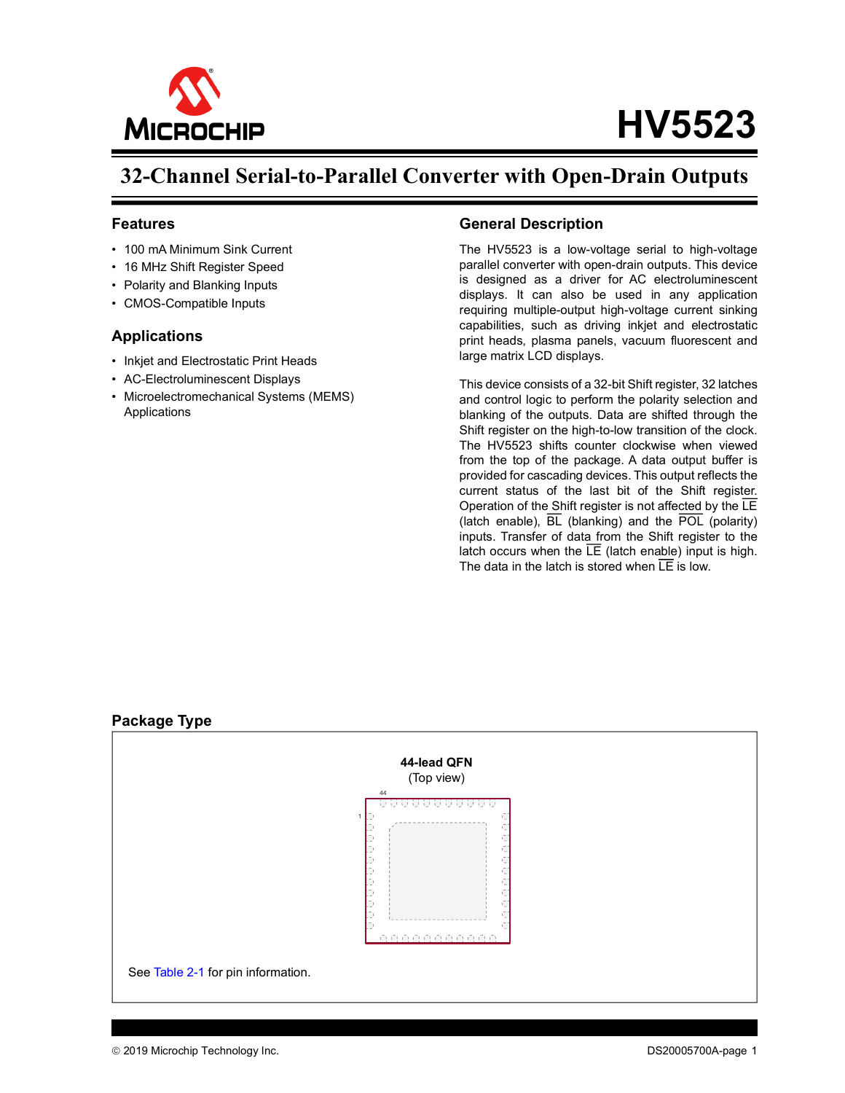

# **HV5523**

## **32-Channel Serial-to-Parallel Converter with Open-Drain Outputs**

#### **Features**

- 100 mA Minimum Sink Current
- 16 MHz Shift Register Speed
- Polarity and Blanking Inputs
- CMOS-Compatible Inputs

#### **Applications**

- Inkjet and Electrostatic Print Heads
- AC-Electroluminescent Displays
- Microelectromechanical Systems (MEMS) **Applications**

#### **General Description**

The HV5523 is a low-voltage serial to high-voltage parallel converter with open-drain outputs. This device is designed as a driver for AC electroluminescent displays. It can also be used in any application requiring multiple-output high-voltage current sinking capabilities, such as driving inkjet and electrostatic print heads, plasma panels, vacuum fluorescent and large matrix LCD displays.

This device consists of a 32-bit Shift register, 32 latches and control logic to perform the polarity selection and blanking of the outputs. Data are shifted through the Shift register on the high-to-low transition of the clock. The HV5523 shifts counter clockwise when viewed from the top of the package. A data output buffer is provided for cascading devices. This output reflects the current status of the last bit of the Shift register. Operation of the Shift register is not affected by the LE (latch enable),  $\overline{BL}$  (blanking) and the  $\overline{POL}$  (polarity) inputs. Transfer of data from the Shift register to the latch occurs when the  $LE$  (latch enable) input is high. The data in the latch is stored when  $\overline{LE}$  is low.

## **44-lead QFN** (Top view) 44 . . . . . . . . . 1 cccccc  $\hat{\zeta}$ Ć See [Table](#page-5-0) 2-1 for pin information.

#### <span id="page-0-0"></span>**Package Type**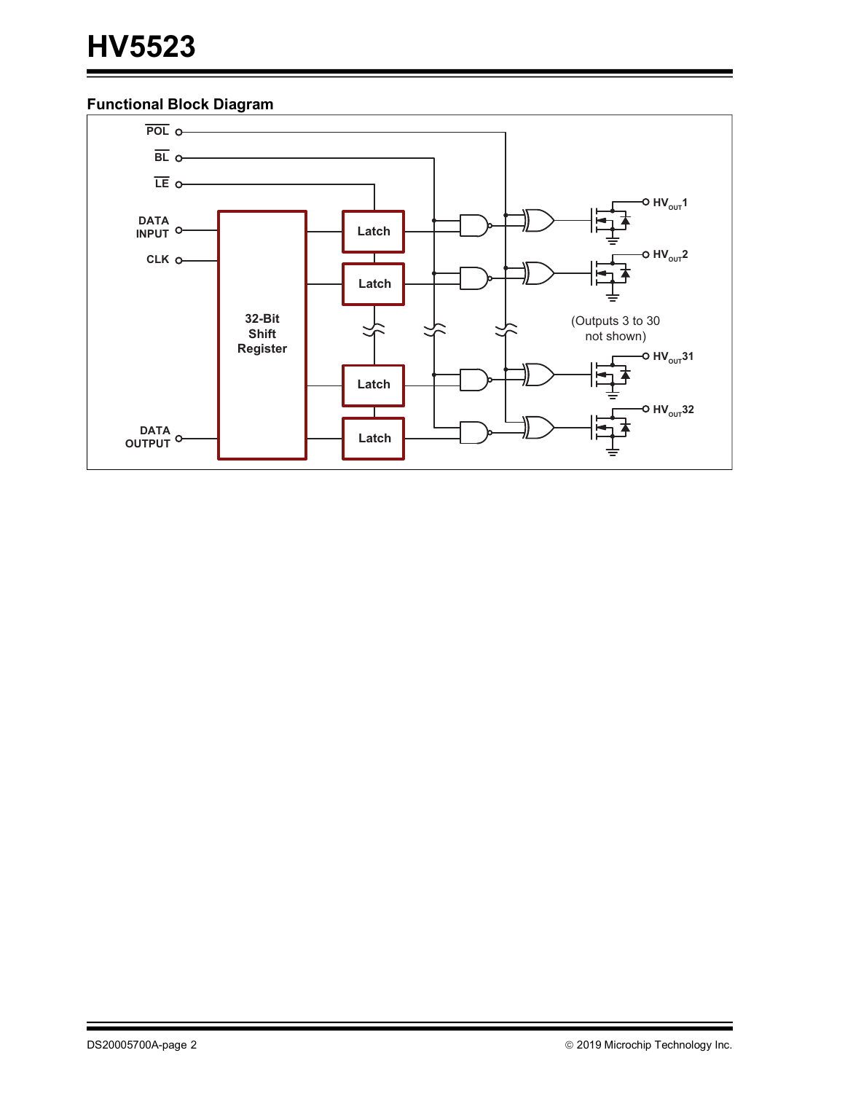## **Functional Block Diagram**

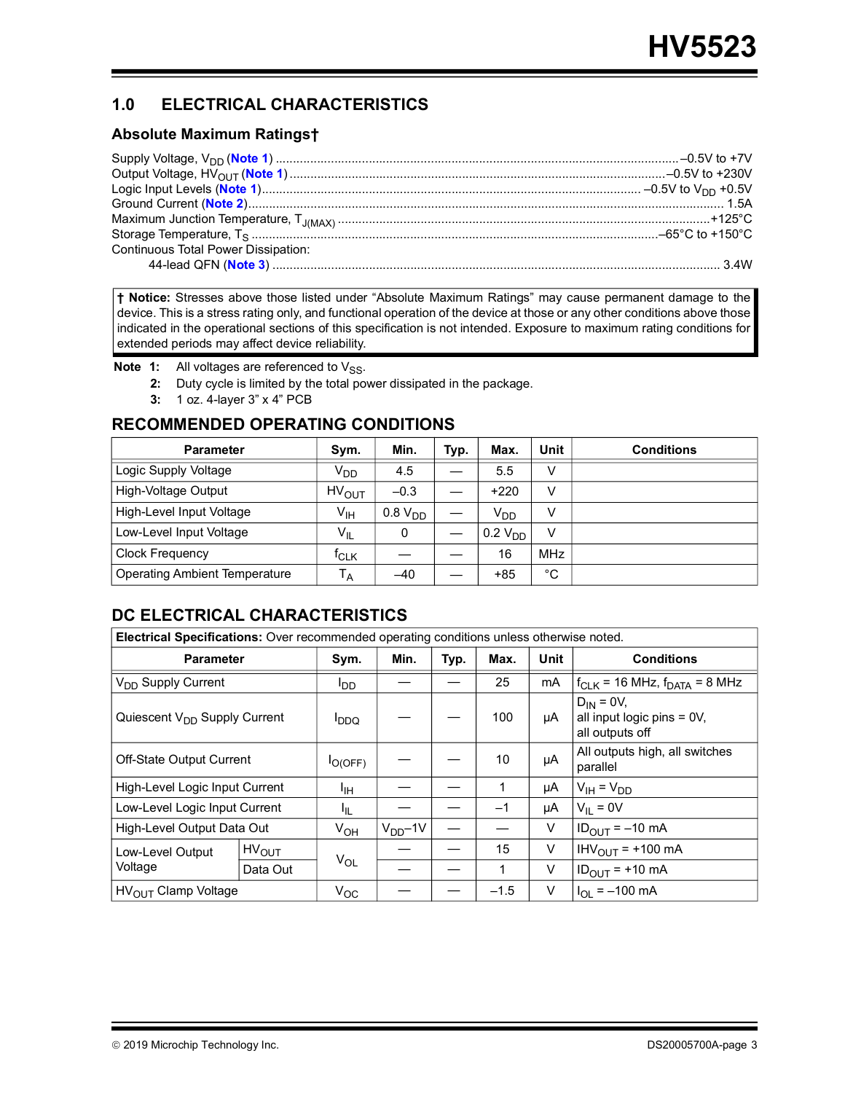## **1.0 ELECTRICAL CHARACTERISTICS**

#### **Absolute Maximum Ratings†**

| <b>Continuous Total Power Dissipation:</b> |  |
|--------------------------------------------|--|
|                                            |  |

**† Notice:** Stresses above those listed under "Absolute Maximum Ratings" may cause permanent damage to the device. This is a stress rating only, and functional operation of the device at those or any other conditions above those indicated in the operational sections of this specification is not intended. Exposure to maximum rating conditions for extended periods may affect device reliability.

- <span id="page-2-1"></span><span id="page-2-0"></span>**Note 1:** All voltages are referenced to V<sub>SS</sub>.
	- **2:** Duty cycle is limited by the total power dissipated in the package.
	- **3:** 1 oz. 4-layer 3" x 4" PCB

## <span id="page-2-2"></span>**RECOMMENDED OPERATING CONDITIONS**

| <b>Parameter</b>                     | Sym.              | Min.                | Typ. | Max.                | Unit       | <b>Conditions</b> |
|--------------------------------------|-------------------|---------------------|------|---------------------|------------|-------------------|
| Logic Supply Voltage                 | V <sub>DD</sub>   | 4.5                 |      | 5.5                 |            |                   |
| High-Voltage Output                  | HV <sub>OUT</sub> | $-0.3$              |      | $+220$              | V          |                   |
| High-Level Input Voltage             | $V_{\text{IH}}$   | 0.8 V <sub>DD</sub> |      | V <sub>DD</sub>     |            |                   |
| Low-Level Input Voltage              | $V_{IL}$          | 0                   |      | 0.2 V <sub>DD</sub> | v          |                   |
| <b>Clock Frequency</b>               | <sup>T</sup> CLK  |                     |      | 16                  | <b>MHz</b> |                   |
| <b>Operating Ambient Temperature</b> | ۱Ā                | $-40$               |      | $+85$               | °C         |                   |

## **DC ELECTRICAL CHARACTERISTICS**

| Electrical Specifications: Over recommended operating conditions unless otherwise noted. |              |                 |              |        |      |                                                                |                                        |  |  |  |
|------------------------------------------------------------------------------------------|--------------|-----------------|--------------|--------|------|----------------------------------------------------------------|----------------------------------------|--|--|--|
| <b>Parameter</b>                                                                         | Sym.         | Min.            | Typ.         | Max.   | Unit | <b>Conditions</b>                                              |                                        |  |  |  |
| V <sub>DD</sub> Supply Current                                                           |              | סםי             |              |        | 25   | mA                                                             | $f_{CLK}$ = 16 MHz, $f_{DATA}$ = 8 MHz |  |  |  |
| Quiescent V <sub>DD</sub> Supply Current                                                 | <b>DDQ</b>   |                 |              | 100    | μA   | $D_{IN} = 0V$<br>all input logic pins = 0V,<br>all outputs off |                                        |  |  |  |
| Off-State Output Current                                                                 | $I_{O(OFF)}$ |                 |              | 10     | μA   | All outputs high, all switches<br>parallel                     |                                        |  |  |  |
| High-Level Logic Input Current                                                           |              | ŀщ              |              |        | 1    | μA                                                             | $V_{IH} = V_{DD}$                      |  |  |  |
| Low-Level Logic Input Current                                                            |              | ŀμ              |              |        | $-1$ | μA                                                             | $V_{II} = 0V$                          |  |  |  |
| High-Level Output Data Out                                                               |              | V <sub>OH</sub> | $V_{DD}$ -1V |        |      | $\vee$                                                         | $IDOUIT = -10 mA$                      |  |  |  |
| Low-Level Output                                                                         | $HV_{OUT}$   |                 |              |        | 15   | V                                                              | $IHV_{OUIT}$ = +100 mA                 |  |  |  |
| Voltage                                                                                  | Data Out     | $V_{OL}$        |              |        | 1    | $\vee$                                                         | $ID_{OUT}$ = +10 mA                    |  |  |  |
| $HV_{OUT}$ Clamp Voltage                                                                 | $V_{OC}$     |                 |              | $-1.5$ | V    | $I_{\text{OI}} = -100 \text{ mA}$                              |                                        |  |  |  |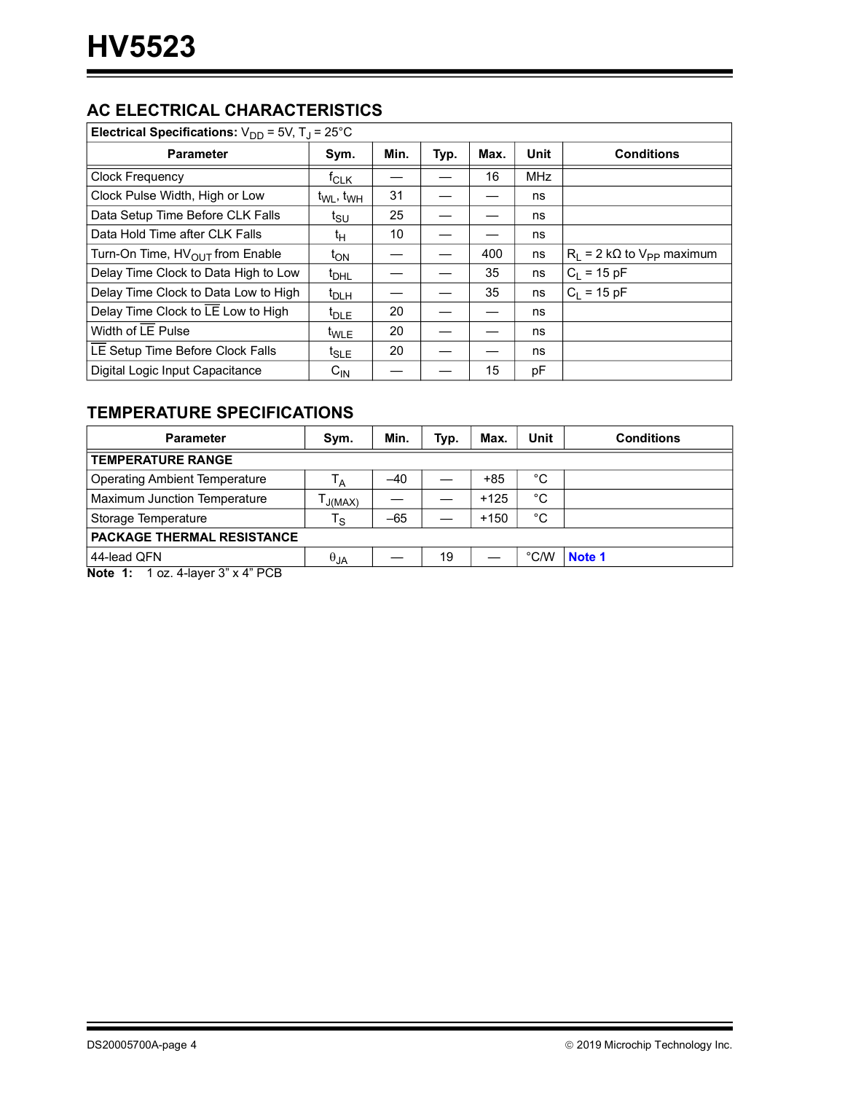## **AC ELECTRICAL CHARACTERISTICS**

| Electrical Specifications: $V_{DD}$ = 5V, T <sub>J</sub> = 25°C |                                   |      |      |      |             |                                       |  |  |  |  |  |
|-----------------------------------------------------------------|-----------------------------------|------|------|------|-------------|---------------------------------------|--|--|--|--|--|
| <b>Parameter</b>                                                | Sym.                              | Min. | Typ. | Max. | <b>Unit</b> | <b>Conditions</b>                     |  |  |  |  |  |
| <b>Clock Frequency</b>                                          | $f_{CLK}$                         |      |      | 16   | <b>MHz</b>  |                                       |  |  |  |  |  |
| Clock Pulse Width, High or Low                                  | t <sub>WL</sub> , t <sub>WH</sub> | 31   |      |      | ns          |                                       |  |  |  |  |  |
| Data Setup Time Before CLK Falls                                | t <sub>SU</sub>                   | 25   |      |      | ns          |                                       |  |  |  |  |  |
| Data Hold Time after CLK Falls                                  | tμ                                | 10   |      |      | ns          |                                       |  |  |  |  |  |
| Turn-On Time, HV <sub>OUT</sub> from Enable                     | ι <sub>ΟΝ</sub>                   |      |      | 400  | ns          | $R_1 = 2 k\Omega$ to $V_{PP}$ maximum |  |  |  |  |  |
| Delay Time Clock to Data High to Low                            | $t_{DHL}$                         |      |      | 35   | ns          | $C_1 = 15 pF$                         |  |  |  |  |  |
| Delay Time Clock to Data Low to High                            | $t_{\text{DLH}}$                  |      |      | 35   | ns          | $C_1 = 15 pF$                         |  |  |  |  |  |
| Delay Time Clock to LE Low to High                              | $t_{DLE}$                         | 20   |      |      | ns          |                                       |  |  |  |  |  |
| Width of LE Pulse                                               | <sup>t</sup> WLE                  | 20   |      |      | ns          |                                       |  |  |  |  |  |
| LE Setup Time Before Clock Falls                                | $t_{SLE}$                         | 20   |      |      | ns          |                                       |  |  |  |  |  |
| Digital Logic Input Capacitance                                 | $\mathtt{C_{IN}}$                 |      |      | 15   | pF          |                                       |  |  |  |  |  |

## **TEMPERATURE SPECIFICATIONS**

| <b>Parameter</b>                                    | Sym.                    | Min.  | Typ. | Max.   | Unit | <b>Conditions</b> |
|-----------------------------------------------------|-------------------------|-------|------|--------|------|-------------------|
| <b>TEMPERATURE RANGE</b>                            |                         |       |      |        |      |                   |
| <b>Operating Ambient Temperature</b>                | ۱Ā                      | $-40$ |      | +85    | °C   |                   |
| Maximum Junction Temperature                        | J(MAX)                  |       |      | $+125$ | °C   |                   |
| Storage Temperature                                 | $\mathsf{T}_\mathsf{S}$ | $-65$ |      | $+150$ | °C   |                   |
| PACKAGE THERMAL RESISTANCE                          |                         |       |      |        |      |                   |
| 44-lead QFN                                         | $\theta_{JA}$           |       | 19   |        | °C/W | Note 1            |
| Note $A_1$ , $A_2$ , $A_3$ loves $2^n \vee A^n$ DCD |                         |       |      |        |      |                   |

<span id="page-3-0"></span>**Note 1:** 1 oz. 4-layer 3" x 4" PCB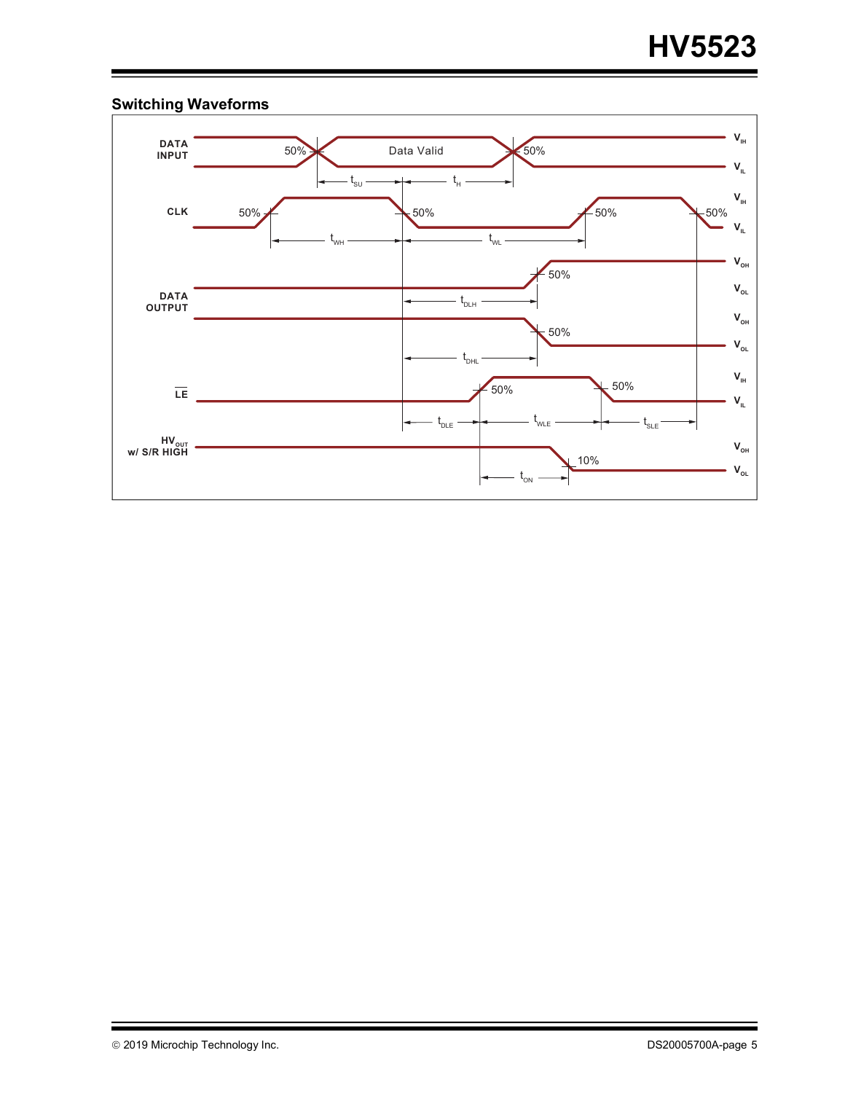

## **Switching Waveforms**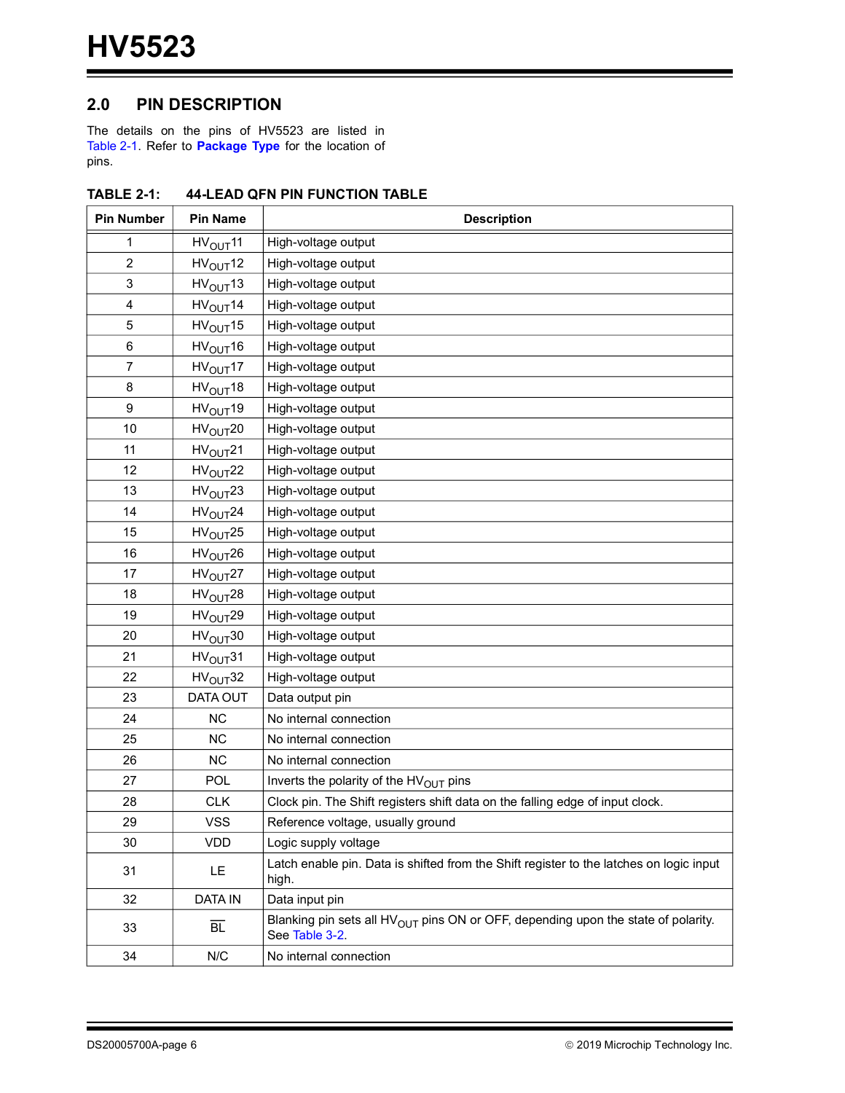## **2.0 PIN DESCRIPTION**

The details on the pins of HV5523 are listed in [Table](#page-5-0) 2-1. Refer to **[Package Type](#page-0-0)** for the location of pins.

| <b>Pin Number</b> | <b>Pin Name</b>      | <b>Description</b>                                                                                              |
|-------------------|----------------------|-----------------------------------------------------------------------------------------------------------------|
| 1                 | HV <sub>OUT</sub> 11 | High-voltage output                                                                                             |
| 2                 | HV <sub>OUT</sub> 12 | High-voltage output                                                                                             |
| 3                 | HV <sub>OUT</sub> 13 | High-voltage output                                                                                             |
| 4                 | HV <sub>OUT</sub> 14 | High-voltage output                                                                                             |
| 5                 | HV <sub>OUT</sub> 15 | High-voltage output                                                                                             |
| 6                 | $HV_{OUT}16$         | High-voltage output                                                                                             |
| 7                 | HV <sub>OUT</sub> 17 | High-voltage output                                                                                             |
| 8                 | HV <sub>OUT</sub> 18 | High-voltage output                                                                                             |
| $\boldsymbol{9}$  | HV <sub>OUT</sub> 19 | High-voltage output                                                                                             |
| 10                | HV <sub>OUT</sub> 20 | High-voltage output                                                                                             |
| 11                | HV <sub>OUT</sub> 21 | High-voltage output                                                                                             |
| 12                | HV <sub>OUT</sub> 22 | High-voltage output                                                                                             |
| 13                | HV <sub>OUT</sub> 23 | High-voltage output                                                                                             |
| 14                | HV <sub>OUT</sub> 24 | High-voltage output                                                                                             |
| 15                | HV <sub>OUT</sub> 25 | High-voltage output                                                                                             |
| 16                | HV <sub>OUT</sub> 26 | High-voltage output                                                                                             |
| 17                | HV <sub>OUT</sub> 27 | High-voltage output                                                                                             |
| 18                | HV <sub>OUT</sub> 28 | High-voltage output                                                                                             |
| 19                | HV <sub>OUT</sub> 29 | High-voltage output                                                                                             |
| 20                | HV <sub>OUT</sub> 30 | High-voltage output                                                                                             |
| 21                | HV <sub>OUT</sub> 31 | High-voltage output                                                                                             |
| 22                | HV <sub>OUT</sub> 32 | High-voltage output                                                                                             |
| 23                | DATA OUT             | Data output pin                                                                                                 |
| 24                | <b>NC</b>            | No internal connection                                                                                          |
| 25                | <b>NC</b>            | No internal connection                                                                                          |
| 26                | <b>NC</b>            | No internal connection                                                                                          |
| 27                | <b>POL</b>           | Inverts the polarity of the HV <sub>OUT</sub> pins                                                              |
| 28                | <b>CLK</b>           | Clock pin. The Shift registers shift data on the falling edge of input clock.                                   |
| 29                | <b>VSS</b>           | Reference voltage, usually ground                                                                               |
| 30                | <b>VDD</b>           | Logic supply voltage                                                                                            |
| 31                | LE.                  | Latch enable pin. Data is shifted from the Shift register to the latches on logic input<br>high.                |
| 32                | <b>DATA IN</b>       | Data input pin                                                                                                  |
| 33                | $\overline{BL}$      | Blanking pin sets all HV <sub>OUT</sub> pins ON or OFF, depending upon the state of polarity.<br>See Table 3-2. |
| 34                | N/C                  | No internal connection                                                                                          |

#### <span id="page-5-0"></span>**TABLE 2-1: 44-LEAD QFN PIN FUNCTION TABLE**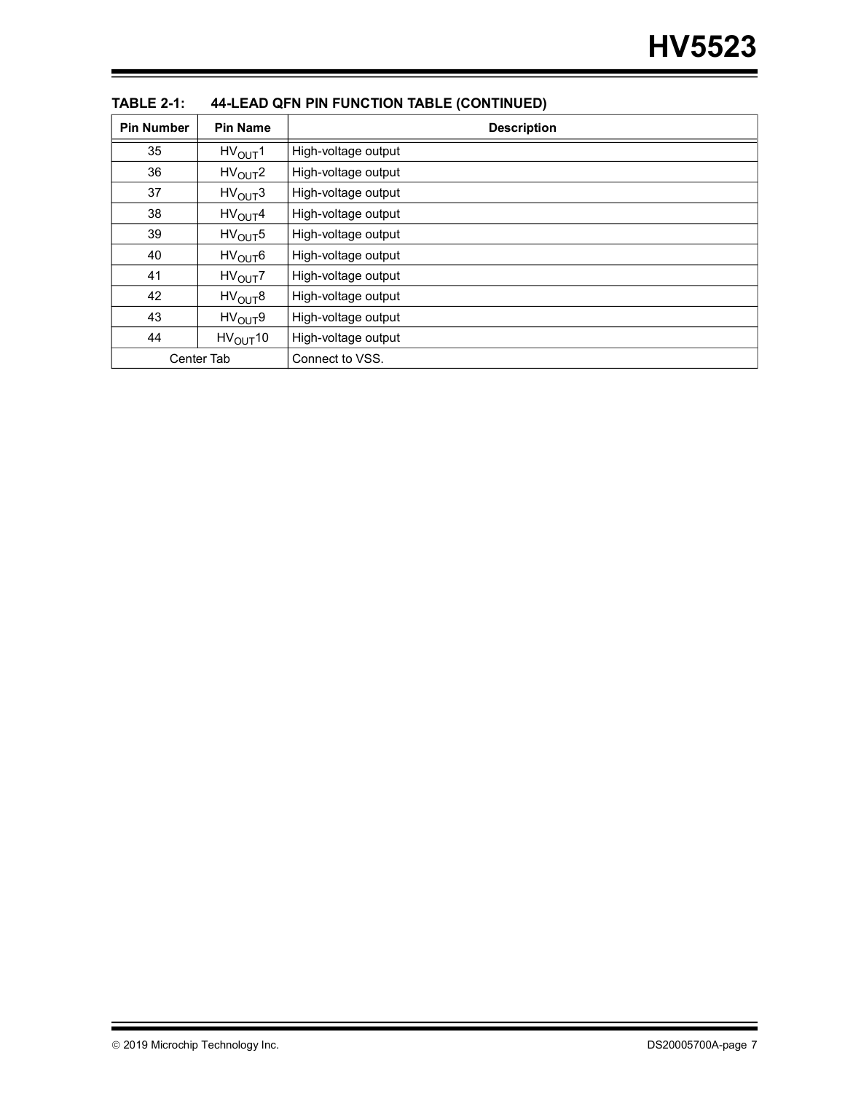| <b>Pin Number</b> | <b>Pin Name</b>      | ,<br><b>Description</b> |
|-------------------|----------------------|-------------------------|
| 35                | HV <sub>OLIT</sub> 1 | High-voltage output     |
| 36                | HV <sub>OUT</sub> 2  | High-voltage output     |
| 37                | HV <sub>OUT</sub> 3  | High-voltage output     |
| 38                | HV <sub>OUT</sub> 4  | High-voltage output     |
| 39                | HV <sub>OUT</sub> 5  | High-voltage output     |
| 40                | $HV_{OUT}6$          | High-voltage output     |
| 41                | HV <sub>OUT</sub> 7  | High-voltage output     |
| 42                | HV <sub>OUT</sub> 8  | High-voltage output     |
| 43                | HV <sub>OUT</sub> 9  | High-voltage output     |
| 44                | $HV_{OUT}10$         | High-voltage output     |
|                   | <b>Center Tab</b>    | Connect to VSS.         |

#### **TABLE 2-1: 44-LEAD QFN PIN FUNCTION TABLE (CONTINUED)**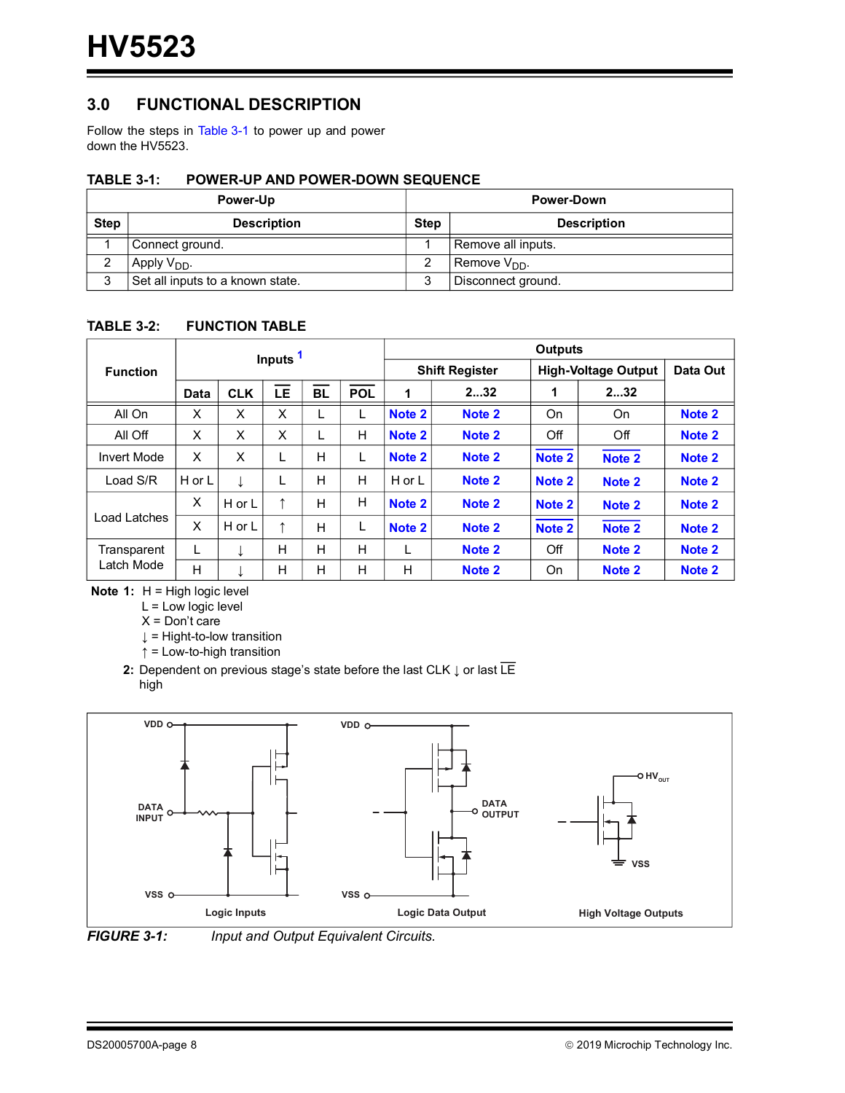## **3.0 FUNCTIONAL DESCRIPTION**

Follow the steps in [Table](#page-7-3) 3-1 to power up and power down the HV5523.

#### <span id="page-7-3"></span>**TABLE 3-1: POWER-UP AND POWER-DOWN SEQUENCE**

|             | <b>Power-Up</b>                  | <b>Power-Down</b> |                          |  |  |  |
|-------------|----------------------------------|-------------------|--------------------------|--|--|--|
| <b>Step</b> | <b>Description</b>               | <b>Step</b>       | <b>Description</b>       |  |  |  |
|             | Connect ground.                  |                   | Remove all inputs.       |  |  |  |
| ∠           | Apply $V_{DD}$ .                 |                   | Remove V <sub>DD</sub> . |  |  |  |
| ົ<br>د      | Set all inputs to a known state. | 2                 | Disconnect ground.       |  |  |  |

#### <span id="page-7-0"></span>**TABLE 3-2: FUNCTION TABLE**

|                    |             |            | Inputs <sup>1</sup> |           |            | <b>Outputs</b> |                       |                            |                   |                   |  |  |
|--------------------|-------------|------------|---------------------|-----------|------------|----------------|-----------------------|----------------------------|-------------------|-------------------|--|--|
| <b>Function</b>    |             |            |                     |           |            |                | <b>Shift Register</b> | <b>High-Voltage Output</b> | Data Out          |                   |  |  |
|                    | <b>Data</b> | <b>CLK</b> | LE                  | <b>BL</b> | <b>POL</b> | 1              | 232                   | 1                          | 232               |                   |  |  |
| All On             | X           | X          | X                   |           |            | Note 2         | Note 2                | On                         | <b>On</b>         | Note 2            |  |  |
| All Off            | X           | X          | X                   |           | н          | Note 2         | Note 2                | Off                        | Off               | Note 2            |  |  |
| <b>Invert Mode</b> | X           | X          | L                   | н         |            | Note 2         | Note 2                | Note <sub>2</sub>          | Note 2            | Note 2            |  |  |
| Load S/R           | H or L      |            |                     | H         | H          | H or L         | Note 2                | Note 2                     | Note 2            | Note 2            |  |  |
|                    | X           | H or L     | ↑                   | H         | Н          | Note 2         | Note 2                | Note 2                     | Note 2            | Note 2            |  |  |
| Load Latches       | X           | H or L     | ↑                   | н         |            | Note 2         | Note 2                | Note <sub>2</sub>          | Note <sub>2</sub> | Note <sub>2</sub> |  |  |
| Transparent        | L           | ↓          | н                   | H         | н          |                | Note 2                | Off                        | Note 2            | Note 2            |  |  |
| Latch Mode         | H           |            | н                   | H         | H          | н              | Note 2                | On                         | Note 2            | Note 2            |  |  |

<span id="page-7-2"></span>**Note 1:** H = High logic level

L = Low logic level

 $X = Don't care$ 

↓ = Hight-to-low transition

↑ = Low-to-high transition

<span id="page-7-1"></span>**2:** Dependent on previous stage's state before the last CLK ↓ or last LE high





*FIGURE 3-1: Input and Output Equivalent Circuits.*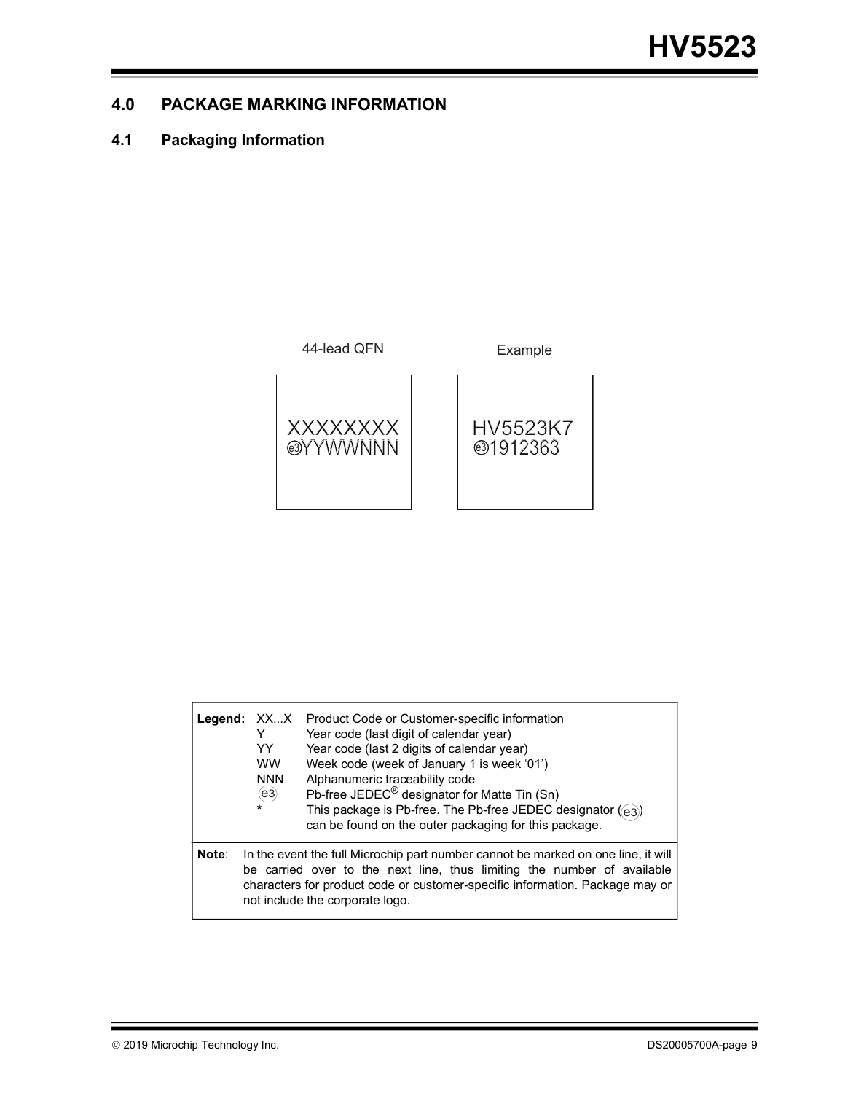## **4.0 PACKAGE MARKING INFORMATION**

## **4.1 Packaging Information**



|       | Legend: XXX<br>Y<br>YY<br><b>WW</b><br><b>NNN</b><br>(e3)<br>$\star$ | Product Code or Customer-specific information<br>Year code (last digit of calendar year)<br>Year code (last 2 digits of calendar year)<br>Week code (week of January 1 is week '01')<br>Alphanumeric traceability code<br>Pb-free JEDEC <sup>®</sup> designator for Matte Tin (Sn)<br>This package is Pb-free. The Pb-free JEDEC designator ((e3))<br>can be found on the outer packaging for this package. |
|-------|----------------------------------------------------------------------|-------------------------------------------------------------------------------------------------------------------------------------------------------------------------------------------------------------------------------------------------------------------------------------------------------------------------------------------------------------------------------------------------------------|
| Note: |                                                                      | In the event the full Microchip part number cannot be marked on one line, it will<br>be carried over to the next line, thus limiting the number of available<br>characters for product code or customer-specific information. Package may or<br>not include the corporate logo.                                                                                                                             |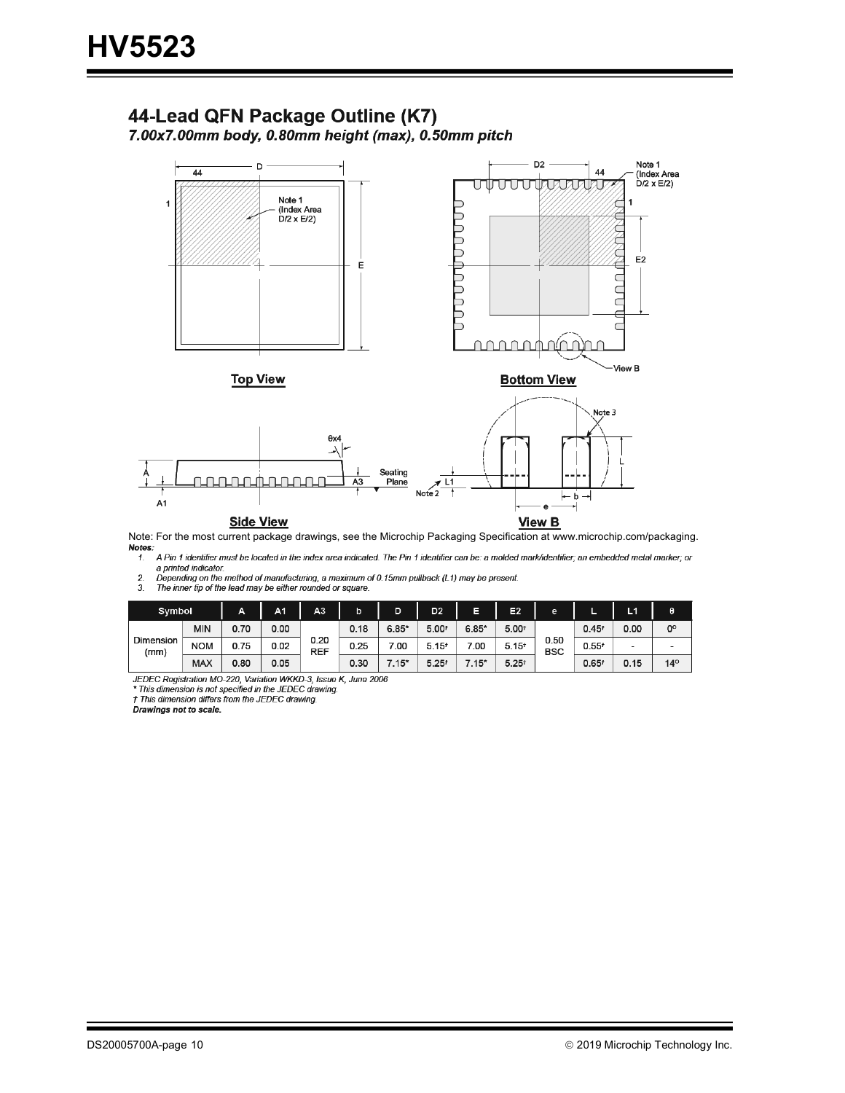## 44-Lead QFN Package Outline (K7)

7.00x7.00mm body, 0.80mm height (max), 0.50mm pitch



Note: For the most current package drawings, see the Microchip Packaging Specification at www.microchip.com/packaging.Notes:

 $1<sup>1</sup>$ A Pin 1 identifier must be located in the index area indicated. The Pin 1 identifier can be: a molded mark/identifier; an embedded metal marker; or a printed indicator.

 $\frac{2}{3}$ a punce analogo the method of manufacturing, a maximum of 0.15mm pullback (L1) may be present.<br>The inner tip of the lead may be either rounded or square.

| Symbol            |            | Α    | A1   | A3                 | b    | D       | D <sub>2</sub>    | Ε<br>E2<br>e<br>ı- |                   | L <sub>1</sub>     |                   |      |  |
|-------------------|------------|------|------|--------------------|------|---------|-------------------|--------------------|-------------------|--------------------|-------------------|------|--|
|                   | <b>MIN</b> | 0.70 | 0.00 |                    | 0.18 | $6.85*$ | 5.00 <sup>t</sup> | $6.85*$            | 5.00 <sup>t</sup> |                    | 0.45 <sup>t</sup> | 0.00 |  |
| Dimension<br>(mm) | <b>NOM</b> | 0.75 | 0.02 | 0.20<br><b>REF</b> | 0.25 | 7.00    | $5.15^{t}$        | 7.00               | $5.15^{t}$        | 0.50<br><b>BSC</b> | $0.55^{t}$        | -    |  |
|                   | <b>MAX</b> | 0.80 | 0.05 |                    | 0.30 | $7.15*$ | $5.25*$           | $(.15^*)$          | $5.25^{t}$        |                    | 0.65 <sup>t</sup> | 0.15 |  |

JEDEC Registration Mo-220, Variation WKKD-3, Issue K, June 2006<br>\* This dimension is not specified in the JEDEC drawing.

† This dimension differs from the JEDEC drawing.

Drawings not to scale.

 $\pmb{\theta}$  $0^{\circ}$  $\overline{a}$ 

 $14^{\rm o}$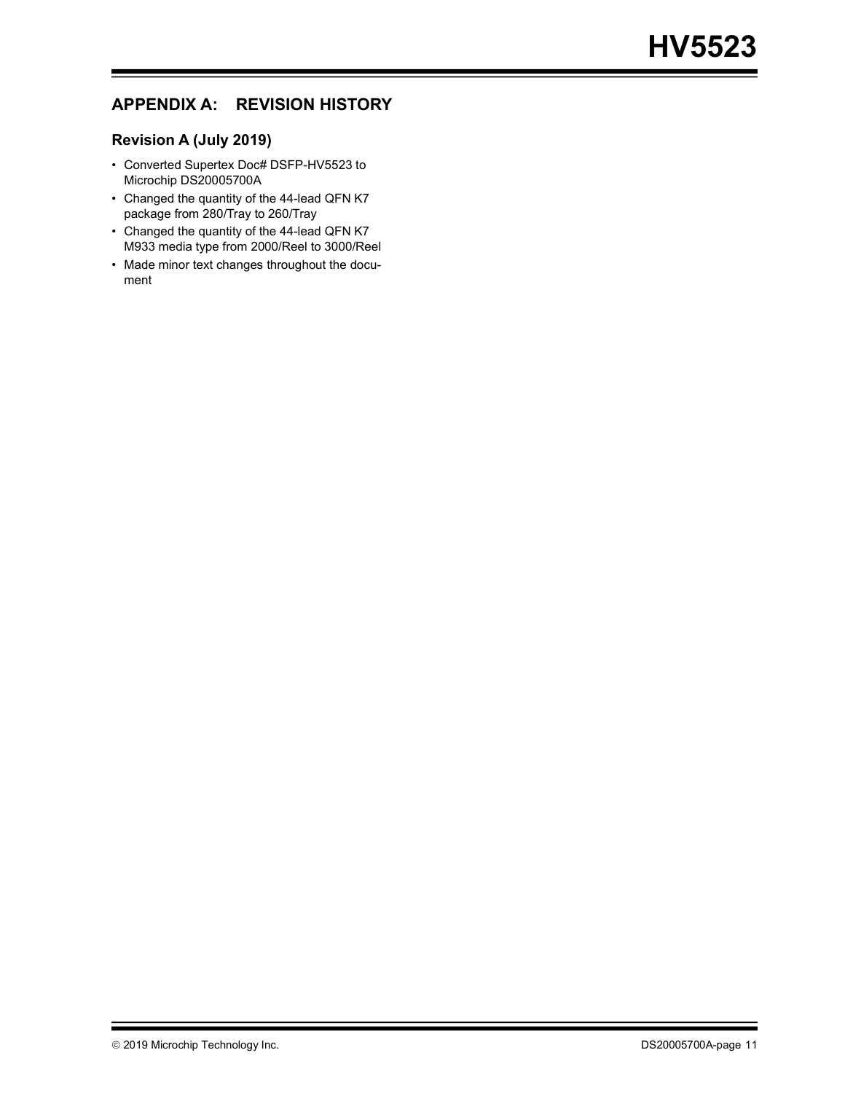## **APPENDIX A: REVISION HISTORY**

#### **Revision A (July 2019)**

- Converted Supertex Doc# DSFP-HV5523 to Microchip DS20005700A
- Changed the quantity of the 44-lead QFN K7 package from 280/Tray to 260/Tray
- Changed the quantity of the 44-lead QFN K7 M933 media type from 2000/Reel to 3000/Reel
- Made minor text changes throughout the document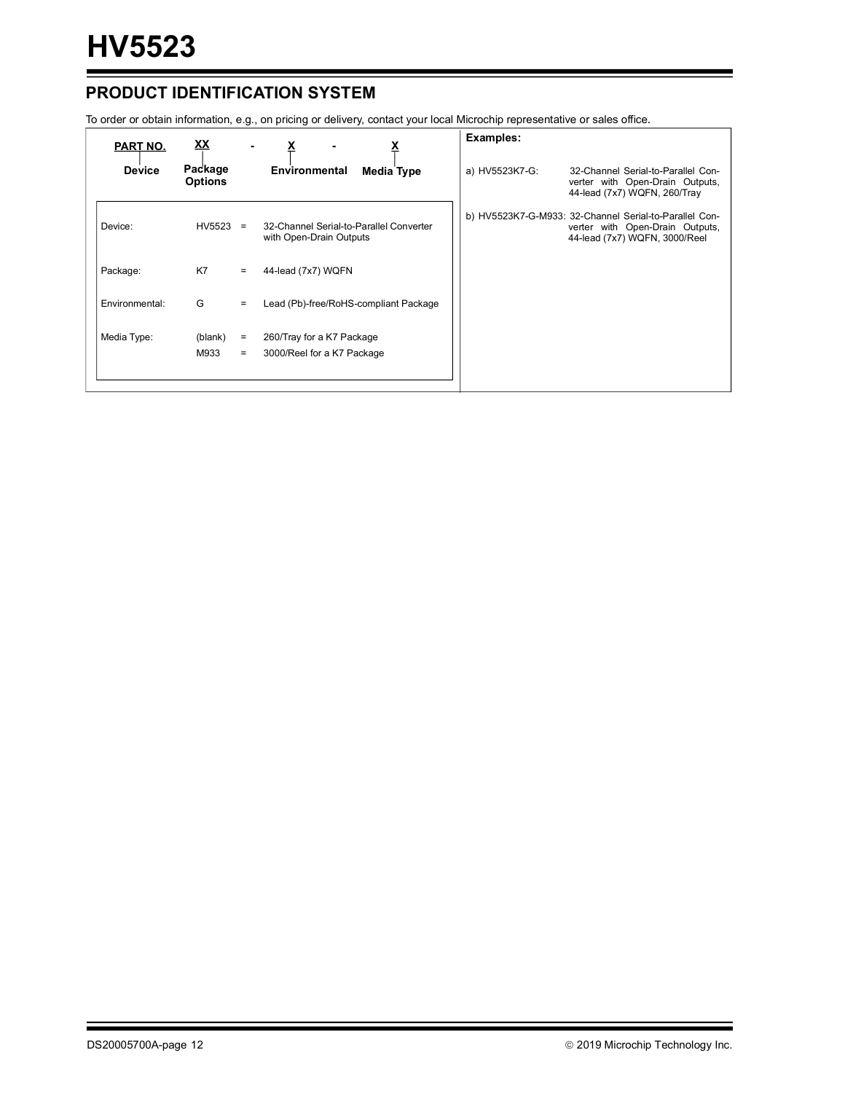## **PRODUCT IDENTIFICATION SYSTEM**

To order or obtain information, e.g., on pricing or delivery, contact your local Microchip representative or sales office.

| PART NO.       | <u>XX</u>                 |                 |                                                                    | Examples:                                                                                                                  |
|----------------|---------------------------|-----------------|--------------------------------------------------------------------|----------------------------------------------------------------------------------------------------------------------------|
| <b>Device</b>  | Package<br><b>Options</b> |                 | Environmental<br><b>Media Type</b>                                 | a) HV5523K7-G:<br>32-Channel Serial-to-Parallel Con-<br>verter with Open-Drain Outputs,<br>44-lead (7x7) WQFN, 260/Tray    |
| Device:        | HV5523                    | $=$             | 32-Channel Serial-to-Parallel Converter<br>with Open-Drain Outputs | b) HV5523K7-G-M933: 32-Channel Serial-to-Parallel Con-<br>verter with Open-Drain Outputs,<br>44-lead (7x7) WQFN, 3000/Reel |
| Package:       | K7                        | $=$             | 44-lead (7x7) WQFN                                                 |                                                                                                                            |
| Environmental: | G                         | $=$             | Lead (Pb)-free/RoHS-compliant Package                              |                                                                                                                            |
| Media Type:    | (blank)<br>M933           | $\equiv$<br>$=$ | 260/Tray for a K7 Package<br>3000/Reel for a K7 Package            |                                                                                                                            |
|                |                           |                 |                                                                    |                                                                                                                            |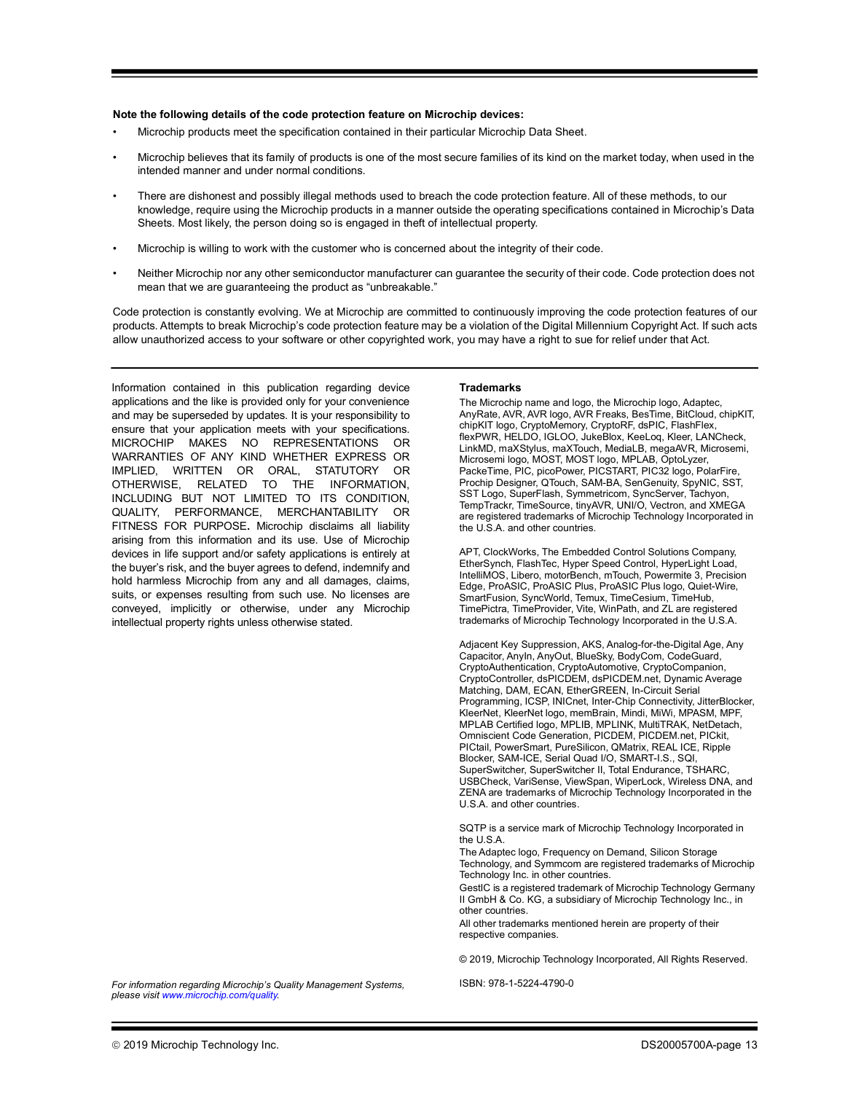#### **Note the following details of the code protection feature on Microchip devices:**

- Microchip products meet the specification contained in their particular Microchip Data Sheet.
- Microchip believes that its family of products is one of the most secure families of its kind on the market today, when used in the intended manner and under normal conditions.
- There are dishonest and possibly illegal methods used to breach the code protection feature. All of these methods, to our knowledge, require using the Microchip products in a manner outside the operating specifications contained in Microchip's Data Sheets. Most likely, the person doing so is engaged in theft of intellectual property.
- Microchip is willing to work with the customer who is concerned about the integrity of their code.
- Neither Microchip nor any other semiconductor manufacturer can guarantee the security of their code. Code protection does not mean that we are guaranteeing the product as "unbreakable."

Code protection is constantly evolving. We at Microchip are committed to continuously improving the code protection features of our products. Attempts to break Microchip's code protection feature may be a violation of the Digital Millennium Copyright Act. If such acts allow unauthorized access to your software or other copyrighted work, you may have a right to sue for relief under that Act.

Information contained in this publication regarding device applications and the like is provided only for your convenience and may be superseded by updates. It is your responsibility to ensure that your application meets with your specifications. MICROCHIP MAKES NO REPRESENTATIONS OR WARRANTIES OF ANY KIND WHETHER EXPRESS OR IMPLIED, WRITTEN OR ORAL, STATUTORY OR OTHERWISE, RELATED TO THE INFORMATION, INCLUDING BUT NOT LIMITED TO ITS CONDITION, QUALITY, PERFORMANCE, MERCHANTABILITY OR FITNESS FOR PURPOSE**.** Microchip disclaims all liability arising from this information and its use. Use of Microchip devices in life support and/or safety applications is entirely at the buyer's risk, and the buyer agrees to defend, indemnify and hold harmless Microchip from any and all damages, claims, suits, or expenses resulting from such use. No licenses are conveyed, implicitly or otherwise, under any Microchip intellectual property rights unless otherwise stated.

#### **Trademarks**

The Microchip name and logo, the Microchip logo, Adaptec, AnyRate, AVR, AVR logo, AVR Freaks, BesTime, BitCloud, chipKIT, chipKIT logo, CryptoMemory, CryptoRF, dsPIC, FlashFlex, flexPWR, HELDO, IGLOO, JukeBlox, KeeLoq, Kleer, LANCheck, LinkMD, maXStylus, maXTouch, MediaLB, megaAVR, Microsemi, Microsemi logo, MOST, MOST logo, MPLAB, OptoLyzer, PackeTime, PIC, picoPower, PICSTART, PIC32 logo, PolarFire, Prochip Designer, QTouch, SAM-BA, SenGenuity, SpyNIC, SST, SST Logo, SuperFlash, Symmetricom, SyncServer, Tachyon, TempTrackr, TimeSource, tinyAVR, UNI/O, Vectron, and XMEGA are registered trademarks of Microchip Technology Incorporated in the U.S.A. and other countries.

APT, ClockWorks, The Embedded Control Solutions Company, EtherSynch, FlashTec, Hyper Speed Control, HyperLight Load, IntelliMOS, Libero, motorBench, mTouch, Powermite 3, Precision Edge, ProASIC, ProASIC Plus, ProASIC Plus logo, Quiet-Wire, SmartFusion, SyncWorld, Temux, TimeCesium, TimeHub, TimePictra, TimeProvider, Vite, WinPath, and ZL are registered trademarks of Microchip Technology Incorporated in the U.S.A.

Adjacent Key Suppression, AKS, Analog-for-the-Digital Age, Any Capacitor, AnyIn, AnyOut, BlueSky, BodyCom, CodeGuard, CryptoAuthentication, CryptoAutomotive, CryptoCompanion, CryptoController, dsPICDEM, dsPICDEM.net, Dynamic Average Matching, DAM, ECAN, EtherGREEN, In-Circuit Serial Programming, ICSP, INICnet, Inter-Chip Connectivity, JitterBlocker, KleerNet, KleerNet logo, memBrain, Mindi, MiWi, MPASM, MPF, MPLAB Certified logo, MPLIB, MPLINK, MultiTRAK, NetDetach, Omniscient Code Generation, PICDEM, PICDEM.net, PICkit, PICtail, PowerSmart, PureSilicon, QMatrix, REAL ICE, Ripple Blocker, SAM-ICE, Serial Quad I/O, SMART-I.S., SQI, SuperSwitcher, SuperSwitcher II, Total Endurance, TSHARC, USBCheck, VariSense, ViewSpan, WiperLock, Wireless DNA, and ZENA are trademarks of Microchip Technology Incorporated in the U.S.A. and other countries.

SQTP is a service mark of Microchip Technology Incorporated in the U.S.A.

The Adaptec logo, Frequency on Demand, Silicon Storage Technology, and Symmcom are registered trademarks of Microchip Technology Inc. in other countries.

GestIC is a registered trademark of Microchip Technology Germany II GmbH & Co. KG, a subsidiary of Microchip Technology Inc., in other countries.

All other trademarks mentioned herein are property of their respective companies.

© 2019, Microchip Technology Incorporated, All Rights Reserved.

*[For information regarding Microchip's Quality Management Systems,](www.microchip.com/quality)  [please visit](www.microchip.com/quality) www.microchip.com/quality.*

ISBN: 978-1-5224-4790-0